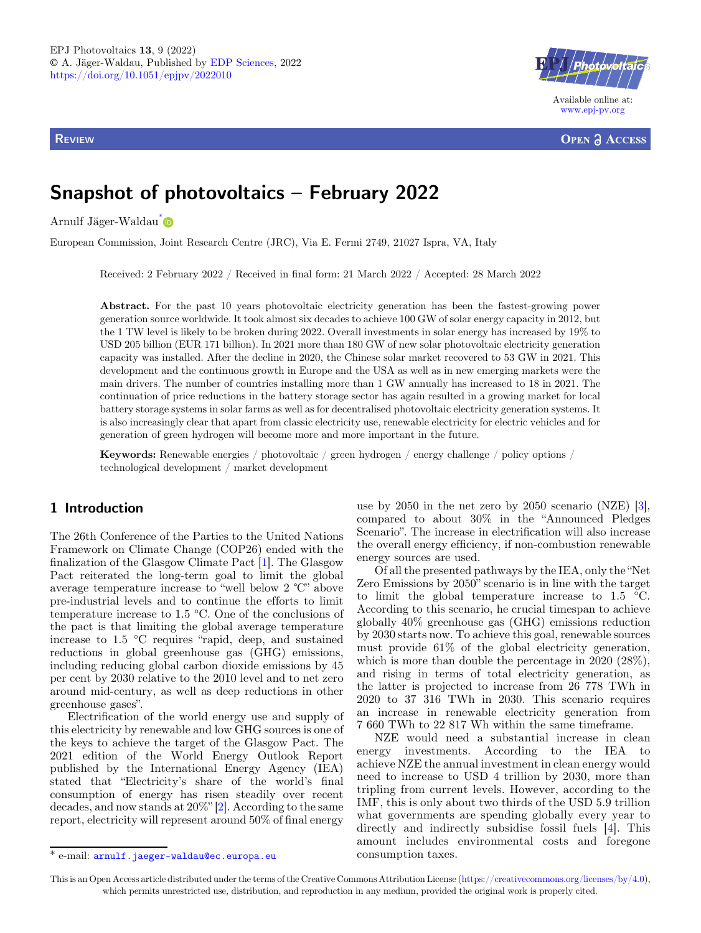**REVIEW** 



**OPEN ACCESS** 

# Snapshot of photovoltaics – February 2022

Arnulf Jäger-Waldau\*

European Commission, Joint Research Centre (JRC), Via E. Fermi 2749, 21027 Ispra, VA, Italy

Received: 2 February 2022 / Received in final form: 21 March 2022 / Accepted: 28 March 2022

Abstract. For the past 10 years photovoltaic electricity generation has been the fastest-growing power generation source worldwide. It took almost six decades to achieve 100 GW of solar energy capacity in 2012, but the 1 TW level is likely to be broken during 2022. Overall investments in solar energy has increased by 19% to USD 205 billion (EUR 171 billion). In 2021 more than 180 GW of new solar photovoltaic electricity generation capacity was installed. After the decline in 2020, the Chinese solar market recovered to 53 GW in 2021. This development and the continuous growth in Europe and the USA as well as in new emerging markets were the main drivers. The number of countries installing more than 1 GW annually has increased to 18 in 2021. The continuation of price reductions in the battery storage sector has again resulted in a growing market for local battery storage systems in solar farms as well as for decentralised photovoltaic electricity generation systems. It is also increasingly clear that apart from classic electricity use, renewable electricity for electric vehicles and for generation of green hydrogen will become more and more important in the future.

Keywords: Renewable energies / photovoltaic / green hydrogen / energy challenge / policy options / technological development / market development

## 1 Introduction

The 26th Conference of the Parties to the United Nations Framework on Climate Change (COP26) ended with the finalization of the Glasgow Climate Pact [\[1](#page-5-0)]. The Glasgow Pact reiterated the long-term goal to limit the global average temperature increase to "well below 2 ℃" above pre-industrial levels and to continue the efforts to limit temperature increase to 1.5 °C. One of the conclusions of the pact is that limiting the global average temperature increase to 1.5 °C requires "rapid, deep, and sustained reductions in global greenhouse gas (GHG) emissions, including reducing global carbon dioxide emissions by 45 per cent by 2030 relative to the 2010 level and to net zero around mid-century, as well as deep reductions in other greenhouse gases".

Electrification of the world energy use and supply of this electricity by renewable and low GHG sources is one of the keys to achieve the target of the Glasgow Pact. The 2021 edition of the World Energy Outlook Report published by the International Energy Agency (IEA) stated that "Electricity's share of the world's final consumption of energy has risen steadily over recent decades, and now stands at 20%" [\[2](#page-5-0)]. According to the same report, electricity will represent around 50% of final energy

use by 2050 in the net zero by 2050 scenario (NZE) [\[3](#page-5-0)], compared to about 30% in the "Announced Pledges Scenario". The increase in electrification will also increase the overall energy efficiency, if non-combustion renewable energy sources are used.

Of all the presented pathways by the IEA, only the "Net Zero Emissions by 2050" scenario is in line with the target to limit the global temperature increase to  $1.5 \text{ }^{\circ}C$ . According to this scenario, he crucial timespan to achieve globally 40% greenhouse gas (GHG) emissions reduction by 2030 starts now. To achieve this goal, renewable sources must provide 61% of the global electricity generation, which is more than double the percentage in 2020 (28%), and rising in terms of total electricity generation, as the latter is projected to increase from 26 778 TWh in 2020 to 37 316 TWh in 2030. This scenario requires an increase in renewable electricity generation from 7 660 TWh to 22 817 Wh within the same timeframe.

NZE would need a substantial increase in clean energy investments. According to the IEA to achieve NZE the annual investment in clean energy would need to increase to USD 4 trillion by 2030, more than tripling from current levels. However, according to the IMF, this is only about two thirds of the USD 5.9 trillion what governments are spending globally every year to directly and indirectly subsidise fossil fuels [\[4](#page-5-0)]. This amount includes environmental costs and foregone

<sup>\*</sup> e-mail: [arnulf.jaeger-waldau@ec.europa.eu](mailto:arnulf.jaeger-waldau@ec.europa.eu) consumption taxes.

This is an Open Access article distributed under the terms of the Creative Commons Attribution License [\(https://creativecommons.org/licenses/by/4.0\)](https://creativecommons.org/licenses/by/4.0), which permits unrestricted use, distribution, and reproduction in any medium, provided the original work is properly cited.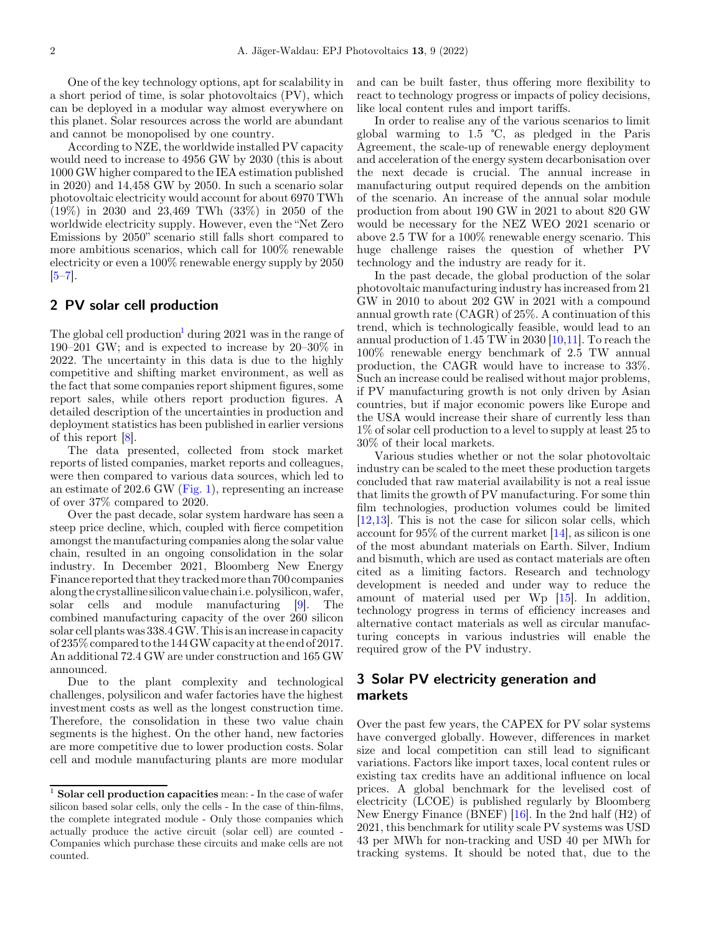One of the key technology options, apt for scalability in a short period of time, is solar photovoltaics (PV), which can be deployed in a modular way almost everywhere on this planet. Solar resources across the world are abundant and cannot be monopolised by one country.

According to NZE, the worldwide installed PV capacity would need to increase to 4956 GW by 2030 (this is about 1000 GW higher compared to the IEA estimation published in 2020) and 14,458 GW by 2050. In such a scenario solar photovoltaic electricity would account for about 6970 TWh (19%) in 2030 and 23,469 TWh (33%) in 2050 of the worldwide electricity supply. However, even the "Net Zero Emissions by 2050" scenario still falls short compared to more ambitious scenarios, which call for 100% renewable electricity or even a 100% renewable energy supply by 2050  $[5-7]$  $[5-7]$  $[5-7]$  $[5-7]$ .

### 2 PV solar cell production

The global cell production<sup>1</sup> during 2021 was in the range of 190–201 GW; and is expected to increase by 20–30% in 2022. The uncertainty in this data is due to the highly competitive and shifting market environment, as well as the fact that some companies report shipment figures, some report sales, while others report production figures. A detailed description of the uncertainties in production and deployment statistics has been published in earlier versions of this report [[8\]](#page-5-0).

The data presented, collected from stock market reports of listed companies, market reports and colleagues, were then compared to various data sources, which led to an estimate of 202.6 GW [\(Fig. 1\)](#page-2-0), representing an increase of over 37% compared to 2020.

Over the past decade, solar system hardware has seen a steep price decline, which, coupled with fierce competition amongst the manufacturing companies along the solar value chain, resulted in an ongoing consolidation in the solar industry. In December 2021, Bloomberg New Energy Finance reported that they trackedmore than 700 companies along the crystalline silicon value chaini.e. polysilicon, wafer, solar cells and module manufacturing [[9\]](#page-5-0). The combined manufacturing capacity of the over 260 silicon solar cell plants was 338.4 GW. Thisis anincrease in capacity of 235% compared to the 144 GW capacity at the end of 2017. An additional 72.4 GW are under construction and 165 GW announced.

Due to the plant complexity and technological challenges, polysilicon and wafer factories have the highest investment costs as well as the longest construction time. Therefore, the consolidation in these two value chain segments is the highest. On the other hand, new factories are more competitive due to lower production costs. Solar cell and module manufacturing plants are more modular

and can be built faster, thus offering more flexibility to react to technology progress or impacts of policy decisions, like local content rules and import tariffs.

In order to realise any of the various scenarios to limit global warming to 1.5 ℃, as pledged in the Paris Agreement, the scale-up of renewable energy deployment and acceleration of the energy system decarbonisation over the next decade is crucial. The annual increase in manufacturing output required depends on the ambition of the scenario. An increase of the annual solar module production from about 190 GW in 2021 to about 820 GW would be necessary for the NEZ WEO 2021 scenario or above 2.5 TW for a 100% renewable energy scenario. This huge challenge raises the question of whether PV technology and the industry are ready for it.

In the past decade, the global production of the solar photovoltaic manufacturing industry has increased from 21 GW in 2010 to about 202 GW in 2021 with a compound annual growth rate (CAGR) of 25%. A continuation of this trend, which is technologically feasible, would lead to an annual production of 1.45 TW in 2030 [[10,11\]](#page-5-0). To reach the 100% renewable energy benchmark of 2.5 TW annual production, the CAGR would have to increase to 33%. Such an increase could be realised without major problems, if PV manufacturing growth is not only driven by Asian countries, but if major economic powers like Europe and the USA would increase their share of currently less than 1% of solar cell production to a level to supply at least 25 to 30% of their local markets.

Various studies whether or not the solar photovoltaic industry can be scaled to the meet these production targets concluded that raw material availability is not a real issue that limits the growth of PV manufacturing. For some thin film technologies, production volumes could be limited [\[12](#page-5-0),[13\]](#page-5-0). This is not the case for silicon solar cells, which account for 95% of the current market [\[14](#page-5-0)], as silicon is one of the most abundant materials on Earth. Silver, Indium and bismuth, which are used as contact materials are often cited as a limiting factors. Research and technology development is needed and under way to reduce the amount of material used per Wp [\[15](#page-5-0)]. In addition, technology progress in terms of efficiency increases and alternative contact materials as well as circular manufacturing concepts in various industries will enable the required grow of the PV industry.

# 3 Solar PV electricity generation and markets

Over the past few years, the CAPEX for PV solar systems have converged globally. However, differences in market size and local competition can still lead to significant variations. Factors like import taxes, local content rules or existing tax credits have an additional influence on local prices. A global benchmark for the levelised cost of electricity (LCOE) is published regularly by Bloomberg New Energy Finance (BNEF) [[16\]](#page-5-0). In the 2nd half (H2) of 2021, this benchmark for utility scale PV systems was USD 43 per MWh for non-tracking and USD 40 per MWh for tracking systems. It should be noted that, due to the

 $^{\rm 1}$  Solar cell production capacities mean: - In the case of wafer silicon based solar cells, only the cells - In the case of thin-films, the complete integrated module - Only those companies which actually produce the active circuit (solar cell) are counted - Companies which purchase these circuits and make cells are not counted.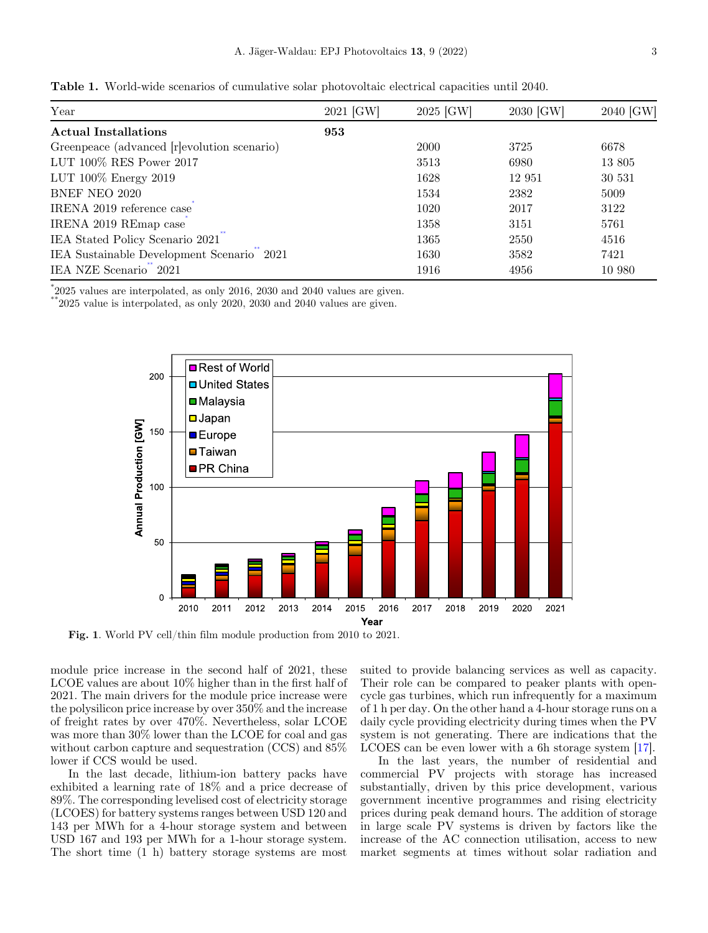<span id="page-2-0"></span>Table 1. World-wide scenarios of cumulative solar photovoltaic electrical capacities until 2040.

| Year                                        | 2021 [GW] | 2025 [GW]   | 2030 [GW] | 2040 [GW] |
|---------------------------------------------|-----------|-------------|-----------|-----------|
| <b>Actual Installations</b>                 | 953       |             |           |           |
| Greenpeace (advanced [r]evolution scenario) |           | <b>2000</b> | 3725      | 6678      |
| LUT 100% RES Power 2017                     |           | 3513        | 6980      | 13 805    |
| LUT 100% Energy 2019                        |           | 1628        | 12 951    | 30 531    |
| <b>BNEF NEO 2020</b>                        |           | 1534        | 2382      | 5009      |
| IRENA 2019 reference case                   |           | 1020        | 2017      | 3122      |
| IRENA 2019 REmap case                       |           | 1358        | 3151      | 5761      |
| IEA Stated Policy Scenario 2021             |           | 1365        | 2550      | 4516      |
| IEA Sustainable Development Scenario 2021   |           | 1630        | 3582      | 7421      |
| IEA NZE Scenario 2021                       |           | 1916        | 4956      | 10 980    |

\* 2025 values are interpolated, as only 2016, 2030 and 2040 values are given.

 $*2025$  value is interpolated, as only 2020, 2030 and 2040 values are given.



Fig. 1. World PV cell/thin film module production from 2010 to 2021.

module price increase in the second half of 2021, these LCOE values are about 10% higher than in the first half of 2021. The main drivers for the module price increase were the polysilicon price increase by over 350% and the increase of freight rates by over 470%. Nevertheless, solar LCOE was more than 30% lower than the LCOE for coal and gas without carbon capture and sequestration (CCS) and 85% lower if CCS would be used.

In the last decade, lithium-ion battery packs have exhibited a learning rate of 18% and a price decrease of 89%. The corresponding levelised cost of electricity storage (LCOES) for battery systems ranges between USD 120 and 143 per MWh for a 4-hour storage system and between USD 167 and 193 per MWh for a 1-hour storage system. The short time (1 h) battery storage systems are most

suited to provide balancing services as well as capacity. Their role can be compared to peaker plants with opencycle gas turbines, which run infrequently for a maximum of 1 h per day. On the other hand a 4-hour storage runs on a daily cycle providing electricity during times when the PV system is not generating. There are indications that the LCOES can be even lower with a 6h storage system [\[17](#page-5-0)].

In the last years, the number of residential and commercial PV projects with storage has increased substantially, driven by this price development, various government incentive programmes and rising electricity prices during peak demand hours. The addition of storage in large scale PV systems is driven by factors like the increase of the AC connection utilisation, access to new market segments at times without solar radiation and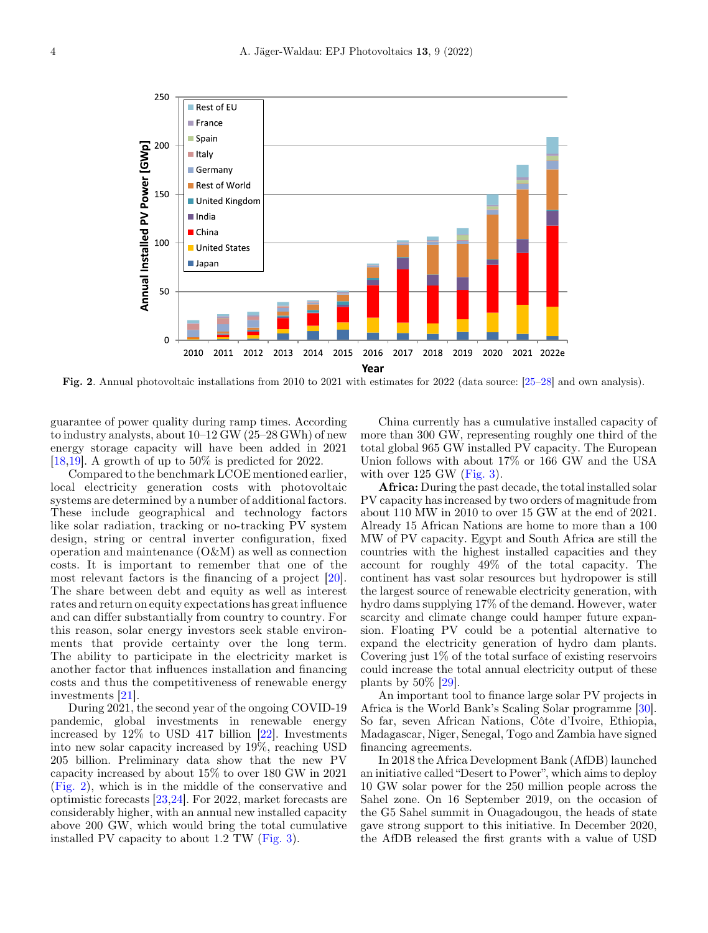

Fig. 2. Annual photovoltaic installations from 2010 to 2021 with estimates for 2022 (data source: [[25](#page-6-0)[–](#page-6-0)[28](#page-6-0)] and own analysis).

guarantee of power quality during ramp times. According to industry analysts, about 10–12 GW (25–28 GWh) of new energy storage capacity will have been added in 2021 [\[18,19\]](#page-5-0). A growth of up to 50% is predicted for 2022.

Compared to the benchmark LCOE mentioned earlier, local electricity generation costs with photovoltaic systems are determined by a number of additional factors. These include geographical and technology factors like solar radiation, tracking or no-tracking PV system design, string or central inverter configuration, fixed operation and maintenance (O&M) as well as connection costs. It is important to remember that one of the most relevant factors is the financing of a project [[20](#page-5-0)]. The share between debt and equity as well as interest rates and return on equity expectations has great influence and can differ substantially from country to country. For this reason, solar energy investors seek stable environments that provide certainty over the long term. The ability to participate in the electricity market is another factor that influences installation and financing costs and thus the competitiveness of renewable energy investments [[21\]](#page-6-0).

During 2021, the second year of the ongoing COVID-19 pandemic, global investments in renewable energy increased by 12% to USD 417 billion [\[22](#page-6-0)]. Investments into new solar capacity increased by 19%, reaching USD 205 billion. Preliminary data show that the new PV capacity increased by about 15% to over 180 GW in 2021 (Fig. 2), which is in the middle of the conservative and optimistic forecasts [\[23](#page-6-0),[24\]](#page-6-0). For 2022, market forecasts are considerably higher, with an annual new installed capacity above 200 GW, which would bring the total cumulative installed PV capacity to about 1.2 TW ([Fig. 3\)](#page-4-0).

China currently has a cumulative installed capacity of more than 300 GW, representing roughly one third of the total global 965 GW installed PV capacity. The European Union follows with about 17% or 166 GW and the USA with over  $125$  GW [\(Fig. 3\)](#page-4-0).

Africa: During the past decade, the total installed solar PV capacity has increased by two orders of magnitude from about 110 MW in 2010 to over 15 GW at the end of 2021. Already 15 African Nations are home to more than a 100 MW of PV capacity. Egypt and South Africa are still the countries with the highest installed capacities and they account for roughly 49% of the total capacity. The continent has vast solar resources but hydropower is still the largest source of renewable electricity generation, with hydro dams supplying 17% of the demand. However, water scarcity and climate change could hamper future expansion. Floating PV could be a potential alternative to expand the electricity generation of hydro dam plants. Covering just 1% of the total surface of existing reservoirs could increase the total annual electricity output of these plants by 50% [[29\]](#page-6-0).

An important tool to finance large solar PV projects in Africa is the World Bank's Scaling Solar programme [\[30](#page-6-0)]. So far, seven African Nations, Côte d'Ivoire, Ethiopia, Madagascar, Niger, Senegal, Togo and Zambia have signed financing agreements.

In 2018 the Africa Development Bank (AfDB) launched an initiative called "Desert to Power", which aims to deploy 10 GW solar power for the 250 million people across the Sahel zone. On 16 September 2019, on the occasion of the G5 Sahel summit in Ouagadougou, the heads of state gave strong support to this initiative. In December 2020, the AfDB released the first grants with a value of USD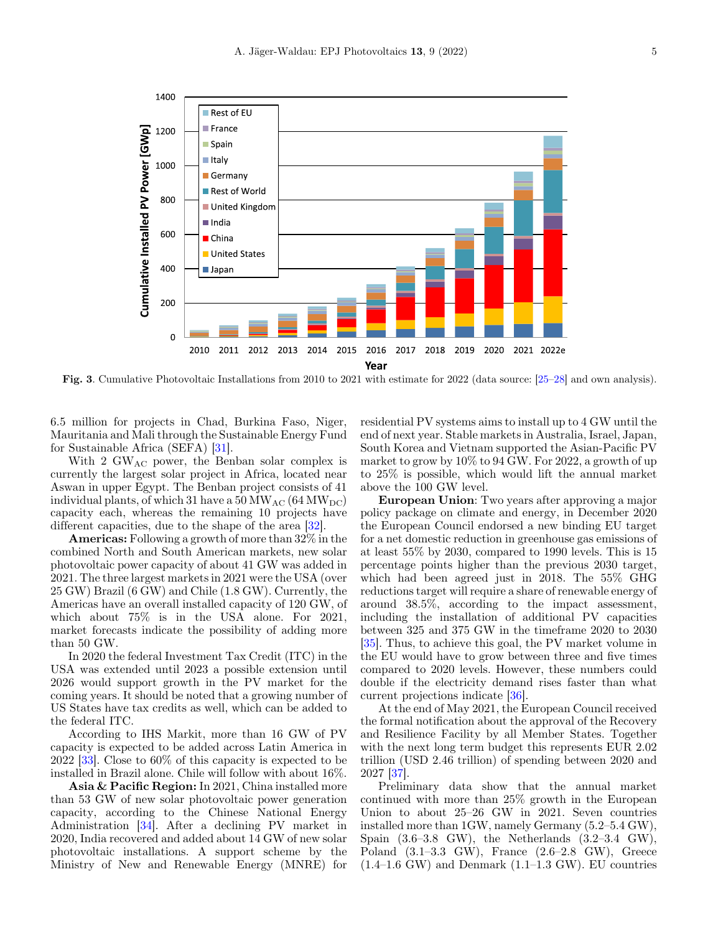<span id="page-4-0"></span>

Fig. 3. Cumulative Photovoltaic Installations from 2010 to 2021 with estimate for 2022 (data source: [[25](#page-6-0)[–](#page-6-0)[28](#page-6-0)] and own analysis).

6.5 million for projects in Chad, Burkina Faso, Niger, Mauritania and Mali through the Sustainable Energy Fund for Sustainable Africa (SEFA) [[31\]](#page-6-0).

With 2 GW<sub>AC</sub> power, the Benban solar complex is currently the largest solar project in Africa, located near Aswan in upper Egypt. The Benban project consists of 41 individual plants, of which 31 have a  $50 \,\mathrm{MW}_{AC}$  (64  $\mathrm{MW}_{DC}$ ) capacity each, whereas the remaining 10 projects have different capacities, due to the shape of the area [\[32](#page-6-0)].

Americas: Following a growth of more than 32% in the combined North and South American markets, new solar photovoltaic power capacity of about 41 GW was added in 2021. The three largest markets in 2021 were the USA (over 25 GW) Brazil (6 GW) and Chile (1.8 GW). Currently, the Americas have an overall installed capacity of 120 GW, of which about 75% is in the USA alone. For 2021, market forecasts indicate the possibility of adding more than 50 GW.

In 2020 the federal Investment Tax Credit (ITC) in the USA was extended until 2023 a possible extension until 2026 would support growth in the PV market for the coming years. It should be noted that a growing number of US States have tax credits as well, which can be added to the federal ITC.

According to IHS Markit, more than 16 GW of PV capacity is expected to be added across Latin America in 2022 [[33\]](#page-6-0). Close to 60% of this capacity is expected to be installed in Brazil alone. Chile will follow with about 16%.

Asia & Pacific Region: In 2021, China installed more than 53 GW of new solar photovoltaic power generation capacity, according to the Chinese National Energy Administration [[34\]](#page-6-0). After a declining PV market in 2020, India recovered and added about 14 GW of new solar photovoltaic installations. A support scheme by the Ministry of New and Renewable Energy (MNRE) for

residential PV systems aims to install up to 4 GW until the end of next year. Stable markets in Australia, Israel, Japan, South Korea and Vietnam supported the Asian-Pacific PV market to grow by 10% to 94 GW. For 2022, a growth of up to 25% is possible, which would lift the annual market above the 100 GW level.

European Union: Two years after approving a major policy package on climate and energy, in December 2020 the European Council endorsed a new binding EU target for a net domestic reduction in greenhouse gas emissions of at least 55% by 2030, compared to 1990 levels. This is 15 percentage points higher than the previous 2030 target, which had been agreed just in 2018. The 55% GHG reductions target will require a share of renewable energy of around 38.5%, according to the impact assessment, including the installation of additional PV capacities between 325 and 375 GW in the timeframe 2020 to 2030 [\[35](#page-6-0)]. Thus, to achieve this goal, the PV market volume in the EU would have to grow between three and five times compared to 2020 levels. However, these numbers could double if the electricity demand rises faster than what current projections indicate [\[36](#page-6-0)].

At the end of May 2021, the European Council received the formal notification about the approval of the Recovery and Resilience Facility by all Member States. Together with the next long term budget this represents EUR 2.02 trillion (USD 2.46 trillion) of spending between 2020 and 2027 [\[37](#page-6-0)].

Preliminary data show that the annual market continued with more than 25% growth in the European Union to about 25–26 GW in 2021. Seven countries installed more than 1GW, namely Germany (5.2–5.4 GW), Spain  $(3.6-3.8 \text{ GW})$ , the Netherlands  $(3.2-3.4 \text{ GW})$ , Poland (3.1–3.3 GW), France (2.6–2.8 GW), Greece  $(1.4-1.6 \text{ GW})$  and Denmark  $(1.1-1.3 \text{ GW})$ . EU countries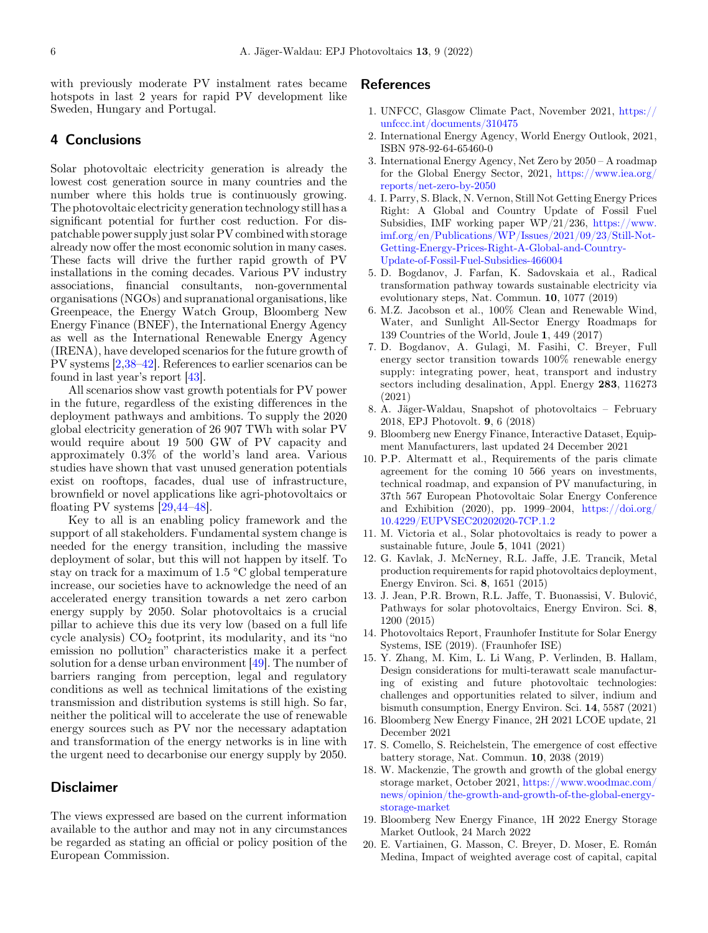<span id="page-5-0"></span>with previously moderate PV instalment rates became hotspots in last 2 years for rapid PV development like Sweden, Hungary and Portugal.

## 4 Conclusions

Solar photovoltaic electricity generation is already the lowest cost generation source in many countries and the number where this holds true is continuously growing. The photovoltaic electricity generation technology still has a significant potential for further cost reduction. For dispatchable power supply just solar PV combined with storage already now offer the most economic solution in many cases. These facts will drive the further rapid growth of PV installations in the coming decades. Various PV industry associations, financial consultants, non-governmental organisations (NGOs) and supranational organisations, like Greenpeace, the Energy Watch Group, Bloomberg New Energy Finance (BNEF), the International Energy Agency as well as the International Renewable Energy Agency (IRENA), have developed scenarios for the future growth of PV systems [2,[38](#page-6-0)[–](#page-6-0)[42](#page-6-0)]. References to earlier scenarios can be found in last year's report [\[43\]](#page-6-0).

All scenarios show vast growth potentials for PV power in the future, regardless of the existing differences in the deployment pathways and ambitions. To supply the 2020 global electricity generation of 26 907 TWh with solar PV would require about 19 500 GW of PV capacity and approximately 0.3% of the world's land area. Various studies have shown that vast unused generation potentials exist on rooftops, facades, dual use of infrastructure, brownfield or novel applications like agri-photovoltaics or floating PV systems [[29,44](#page-6-0)[–](#page-6-0)[48](#page-6-0)].

Key to all is an enabling policy framework and the support of all stakeholders. Fundamental system change is needed for the energy transition, including the massive deployment of solar, but this will not happen by itself. To stay on track for a maximum of 1.5 °C global temperature increase, our societies have to acknowledge the need of an accelerated energy transition towards a net zero carbon energy supply by 2050. Solar photovoltaics is a crucial pillar to achieve this due its very low (based on a full life cycle analysis)  $CO<sub>2</sub>$  footprint, its modularity, and its "no emission no pollution" characteristics make it a perfect solution for a dense urban environment [\[49](#page-6-0)]. The number of barriers ranging from perception, legal and regulatory conditions as well as technical limitations of the existing transmission and distribution systems is still high. So far, neither the political will to accelerate the use of renewable energy sources such as PV nor the necessary adaptation and transformation of the energy networks is in line with the urgent need to decarbonise our energy supply by 2050.

## Disclaimer

The views expressed are based on the current information available to the author and may not in any circumstances be regarded as stating an official or policy position of the European Commission.

#### References

- 1. UNFCC, Glasgow Climate Pact, November 2021, [https://](https://unfccc.int/documents/310475) [unfccc.int/documents/310475](https://unfccc.int/documents/310475)
- 2. International Energy Agency, World Energy Outlook, 2021, ISBN 978-92-64-65460-0
- 3. International Energy Agency, Net Zero by 2050 A roadmap for the Global Energy Sector, 2021, [https://www.iea.org/](https://www.iea.org/reports/net-zero-by-2050) [reports/net-zero-by-2050](https://www.iea.org/reports/net-zero-by-2050)
- 4. I. Parry, S. Black, N. Vernon, Still Not Getting Energy Prices Right: A Global and Country Update of Fossil Fuel Subsidies, IMF working paper WP/21/236, [https://www.](https://www.imf.org/en/Publications/WP/Issues/2021/09/23/Still-Not-Getting-Energy-Prices-Right-A-Global-and-Country-Update-of-Fossil-Fuel-Subsidies-466004) [imf.org/en/Publications/WP/Issues/2021/09/23/Still-Not-](https://www.imf.org/en/Publications/WP/Issues/2021/09/23/Still-Not-Getting-Energy-Prices-Right-A-Global-and-Country-Update-of-Fossil-Fuel-Subsidies-466004)[Getting-Energy-Prices-Right-A-Global-and-Country-](https://www.imf.org/en/Publications/WP/Issues/2021/09/23/Still-Not-Getting-Energy-Prices-Right-A-Global-and-Country-Update-of-Fossil-Fuel-Subsidies-466004)[Update-of-Fossil-Fuel-Subsidies-466004](https://www.imf.org/en/Publications/WP/Issues/2021/09/23/Still-Not-Getting-Energy-Prices-Right-A-Global-and-Country-Update-of-Fossil-Fuel-Subsidies-466004)
- 5. D. Bogdanov, J. Farfan, K. Sadovskaia et al., Radical transformation pathway towards sustainable electricity via evolutionary steps, Nat. Commun. 10, 1077 (2019)
- 6. M.Z. Jacobson et al., 100% Clean and Renewable Wind, Water, and Sunlight All-Sector Energy Roadmaps for 139 Countries of the World, Joule 1, 449 (2017)
- 7. D. Bogdanov, A. Gulagi, M. Fasihi, C. Breyer, Full energy sector transition towards 100% renewable energy supply: integrating power, heat, transport and industry sectors including desalination, Appl. Energy 283, 116273 (2021)
- 8. A. Jäger-Waldau, Snapshot of photovoltaics February 2018, EPJ Photovolt. 9, 6 (2018)
- 9. Bloomberg new Energy Finance, Interactive Dataset, Equipment Manufacturers, last updated 24 December 2021
- 10. P.P. Altermatt et al., Requirements of the paris climate agreement for the coming 10 566 years on investments, technical roadmap, and expansion of PV manufacturing, in 37th 567 European Photovoltaic Solar Energy Conference and Exhibition (2020), pp. 1999–2004, [https://doi.org/](https://doi.org/10.4229/EUPVSEC20202020-7CP.1.2) [10.4229/EUPVSEC20202020-7CP.1.2](https://doi.org/10.4229/EUPVSEC20202020-7CP.1.2)
- 11. M. Victoria et al., Solar photovoltaics is ready to power a sustainable future, Joule 5, 1041 (2021)
- 12. G. Kavlak, J. McNerney, R.L. Jaffe, J.E. Trancik, Metal production requirements for rapid photovoltaics deployment, Energy Environ. Sci. 8, 1651 (2015)
- 13. J. Jean, P.R. Brown, R.L. Jaffe, T. Buonassisi, V. Bulović, Pathways for solar photovoltaics, Energy Environ. Sci. 8, 1200 (2015)
- 14. Photovoltaics Report, Fraunhofer Institute for Solar Energy Systems, ISE (2019). (Fraunhofer ISE)
- 15. Y. Zhang, M. Kim, L. Li Wang, P. Verlinden, B. Hallam, Design considerations for multi-terawatt scale manufacturing of existing and future photovoltaic technologies: challenges and opportunities related to silver, indium and bismuth consumption, Energy Environ. Sci. 14, 5587 (2021)
- 16. Bloomberg New Energy Finance, 2H 2021 LCOE update, 21 December 2021
- 17. S. Comello, S. Reichelstein, The emergence of cost effective battery storage, Nat. Commun. 10, 2038 (2019)
- 18. W. Mackenzie, The growth and growth of the global energy storage market, October 2021, [https://www.woodmac.com/](https://www.woodmac.com/news/opinion/the-growth-and-growth-of-the-global-energy-storage-market) [news/opinion/the-growth-and-growth-of-the-global-energy](https://www.woodmac.com/news/opinion/the-growth-and-growth-of-the-global-energy-storage-market)[storage-market](https://www.woodmac.com/news/opinion/the-growth-and-growth-of-the-global-energy-storage-market)
- 19. Bloomberg New Energy Finance, 1H 2022 Energy Storage Market Outlook, 24 March 2022
- 20. E. Vartiainen, G. Masson, C. Breyer, D. Moser, E. Román Medina, Impact of weighted average cost of capital, capital